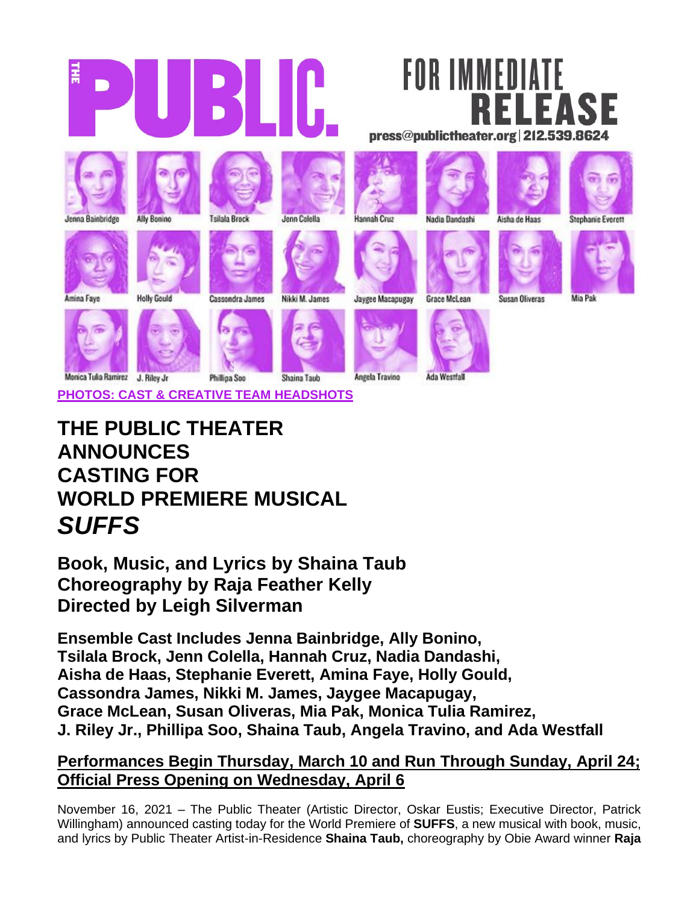

# **THE PUBLIC THEATER ANNOUNCES CASTING FOR WORLD PREMIERE MUSICAL** *SUFFS*

**Book, Music, and Lyrics by Shaina Taub Choreography by Raja Feather Kelly Directed by Leigh Silverman**

**Ensemble Cast Includes Jenna Bainbridge, Ally Bonino, Tsilala Brock, Jenn Colella, Hannah Cruz, Nadia Dandashi, Aisha de Haas, Stephanie Everett, Amina Faye, Holly Gould, Cassondra James, Nikki M. James, Jaygee Macapugay, Grace McLean, Susan Oliveras, Mia Pak, Monica Tulia Ramirez, J. Riley Jr., Phillipa Soo, Shaina Taub, Angela Travino, and Ada Westfall**

# **Performances Begin Thursday, March 10 and Run Through Sunday, April 24; Official Press Opening on Wednesday, April 6**

November 16, 2021 – The Public Theater (Artistic Director, Oskar Eustis; Executive Director, Patrick Willingham) announced casting today for the World Premiere of **SUFFS**, a new musical with book, music, and lyrics by Public Theater Artist-in-Residence **Shaina Taub,** choreography by Obie Award winner **Raja**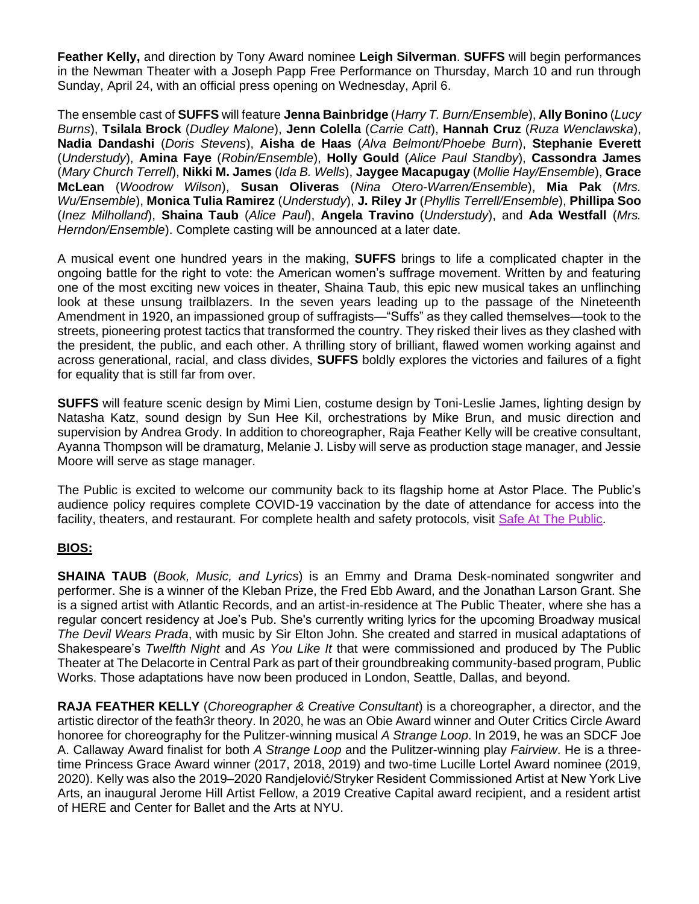**Feather Kelly,** and direction by Tony Award nominee **Leigh Silverman**. **SUFFS** will begin performances in the Newman Theater with a Joseph Papp Free Performance on Thursday, March 10 and run through Sunday, April 24, with an official press opening on Wednesday, April 6.

The ensemble cast of **SUFFS** will feature **Jenna Bainbridge** (*Harry T. Burn/Ensemble*), **Ally Bonino** (*Lucy Burns*), **Tsilala Brock** (*Dudley Malone*), **Jenn Colella** (*Carrie Catt*), **Hannah Cruz** (*Ruza Wenclawska*), **Nadia Dandashi** (*Doris Stevens*), **Aisha de Haas** (*Alva Belmont/Phoebe Burn*), **Stephanie Everett**  (*Understudy*), **Amina Faye** (*Robin/Ensemble*), **Holly Gould** (*Alice Paul Standby*), **Cassondra James**  (*Mary Church Terrell*), **Nikki M. James** (*Ida B. Wells*), **Jaygee Macapugay** (*Mollie Hay/Ensemble*), **Grace McLean** (*Woodrow Wilson*), **Susan Oliveras** (*Nina Otero-Warren/Ensemble*), **Mia Pak** (*Mrs. Wu/Ensemble*), **Monica Tulia Ramirez** (*Understudy*), **J. Riley Jr** (*Phyllis Terrell/Ensemble*), **Phillipa Soo**  (*Inez Milholland*), **Shaina Taub** (*Alice Paul*), **Angela Travino** (*Understudy*), and **Ada Westfall** (*Mrs. Herndon/Ensemble*). Complete casting will be announced at a later date.

A musical event one hundred years in the making, **SUFFS** brings to life a complicated chapter in the ongoing battle for the right to vote: the American women's suffrage movement. Written by and featuring one of the most exciting new voices in theater, Shaina Taub, this epic new musical takes an unflinching look at these unsung trailblazers. In the seven years leading up to the passage of the Nineteenth Amendment in 1920, an impassioned group of suffragists—"Suffs" as they called themselves—took to the streets, pioneering protest tactics that transformed the country. They risked their lives as they clashed with the president, the public, and each other. A thrilling story of brilliant, flawed women working against and across generational, racial, and class divides, **SUFFS** boldly explores the victories and failures of a fight for equality that is still far from over.

**SUFFS** will feature scenic design by Mimi Lien, costume design by Toni-Leslie James, lighting design by Natasha Katz, sound design by Sun Hee Kil, orchestrations by Mike Brun, and music direction and supervision by Andrea Grody. In addition to choreographer, Raja Feather Kelly will be creative consultant, Ayanna Thompson will be dramaturg, Melanie J. Lisby will serve as production stage manager, and Jessie Moore will serve as stage manager.

The Public is excited to welcome our community back to its flagship home at Astor Place. The Public's audience policy requires complete COVID-19 vaccination by the date of attendance for access into the facility, theaters, and restaurant. For complete health and safety protocols, visit [Safe At The Public.](http://thepublic.nyc/safeatthepublic)

## **BIOS:**

**SHAINA TAUB** (*Book, Music, and Lyrics*) is an Emmy and Drama Desk-nominated songwriter and performer. She is a winner of the Kleban Prize, the Fred Ebb Award, and the Jonathan Larson Grant. She is a signed artist with Atlantic Records, and an artist-in-residence at The Public Theater, where she has a regular concert residency at Joe's Pub. She's currently writing lyrics for the upcoming Broadway musical *The Devil Wears Prada*, with music by Sir Elton John. She created and starred in musical adaptations of Shakespeare's *Twelfth Night* and *As You Like It* that were commissioned and produced by The Public Theater at The Delacorte in Central Park as part of their groundbreaking community-based program, Public Works. Those adaptations have now been produced in London, Seattle, Dallas, and beyond.

**RAJA FEATHER KELLY** (*Choreographer & Creative Consultant*) is a choreographer, a director, and the artistic director of the feath3r theory. In 2020, he was an Obie Award winner and Outer Critics Circle Award honoree for choreography for the Pulitzer-winning musical *A Strange Loop*. In 2019, he was an SDCF Joe A. Callaway Award finalist for both *A Strange Loop* and the Pulitzer-winning play *Fairview*. He is a threetime Princess Grace Award winner (2017, 2018, 2019) and two-time Lucille Lortel Award nominee (2019, 2020). Kelly was also the 2019–2020 Randjelović/Stryker Resident Commissioned Artist at New York Live Arts, an inaugural Jerome Hill Artist Fellow, a 2019 Creative Capital award recipient, and a resident artist of HERE and Center for Ballet and the Arts at NYU.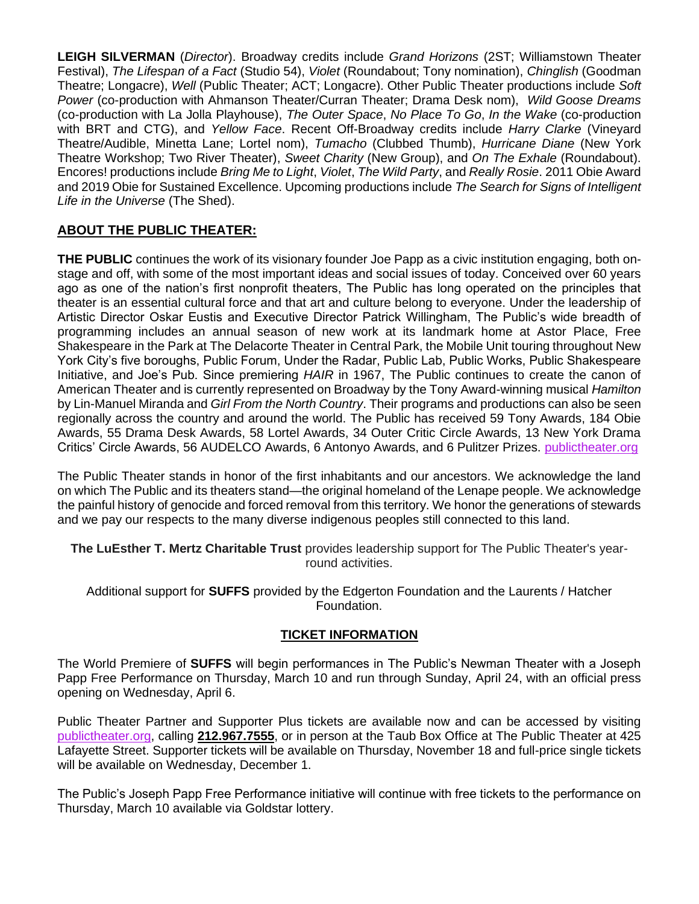**LEIGH SILVERMAN** (*Director*). Broadway credits include *Grand Horizons* (2ST; Williamstown Theater Festival), *The Lifespan of a Fact* (Studio 54), *Violet* (Roundabout; Tony nomination), *Chinglish* (Goodman Theatre; Longacre), *Well* (Public Theater; ACT; Longacre). Other Public Theater productions include *Soft Power* (co-production with Ahmanson Theater/Curran Theater; Drama Desk nom), *Wild Goose Dreams* (co-production with La Jolla Playhouse), *The Outer Space*, *No Place To Go*, *In the Wake* (co-production with BRT and CTG), and *Yellow Face*. Recent Off-Broadway credits include *Harry Clarke* (Vineyard Theatre/Audible, Minetta Lane; Lortel nom), *Tumacho* (Clubbed Thumb), *Hurricane Diane* (New York Theatre Workshop; Two River Theater), *Sweet Charity* (New Group), and *On The Exhale* (Roundabout). Encores! productions include *Bring Me to Light*, *Violet*, *The Wild Party*, and *Really Rosie*. 2011 Obie Award and 2019 Obie for Sustained Excellence. Upcoming productions include *The Search for Signs of Intelligent Life in the Universe* (The Shed).

# **ABOUT THE PUBLIC THEATER:**

**THE PUBLIC** continues the work of its visionary founder Joe Papp as a civic institution engaging, both onstage and off, with some of the most important ideas and social issues of today. Conceived over 60 years ago as one of the nation's first nonprofit theaters, The Public has long operated on the principles that theater is an essential cultural force and that art and culture belong to everyone. Under the leadership of Artistic Director Oskar Eustis and Executive Director Patrick Willingham, The Public's wide breadth of programming includes an annual season of new work at its landmark home at Astor Place, Free Shakespeare in the Park at The Delacorte Theater in Central Park, the Mobile Unit touring throughout New York City's five boroughs, Public Forum, Under the Radar, Public Lab, Public Works, Public Shakespeare Initiative, and Joe's Pub. Since premiering *HAIR* in 1967, The Public continues to create the canon of American Theater and is currently represented on Broadway by the Tony Award-winning musical *Hamilton*  by Lin-Manuel Miranda and *Girl From the North Country*. Their programs and productions can also be seen regionally across the country and around the world. The Public has received 59 Tony Awards, 184 Obie Awards, 55 Drama Desk Awards, 58 Lortel Awards, 34 Outer Critic Circle Awards, 13 New York Drama Critics' Circle Awards, 56 AUDELCO Awards, 6 Antonyo Awards, and 6 Pulitzer Prizes[.](http://publictheater.org/) [publictheater.org](http://publictheater.org/)

The Public Theater stands in honor of the first inhabitants and our ancestors. We acknowledge the land on which The Public and its theaters stand—the original homeland of the Lenape people. We acknowledge the painful history of genocide and forced removal from this territory. We honor the generations of stewards and we pay our respects to the many diverse indigenous peoples still connected to this land.

**The LuEsther T. Mertz Charitable Trust** provides leadership support for The Public Theater's yearround activities.

Additional support for **SUFFS** provided by the Edgerton Foundation and the Laurents / Hatcher Foundation.

## **TICKET INFORMATION**

The World Premiere of **SUFFS** will begin performances in The Public's Newman Theater with a Joseph Papp Free Performance on Thursday, March 10 and run through Sunday, April 24, with an official press opening on Wednesday, April 6.

Public Theater Partner and Supporter Plus tickets are available now and can be accessed by visiting [publictheater.org,](http://www.publictheater.org/) calling **212.967.7555**, or in person at the Taub Box Office at The Public Theater at 425 Lafayette Street. Supporter tickets will be available on Thursday, November 18 and full-price single tickets will be available on Wednesday, December 1.

The Public's Joseph Papp Free Performance initiative will continue with free tickets to the performance on Thursday, March 10 available via Goldstar lottery.